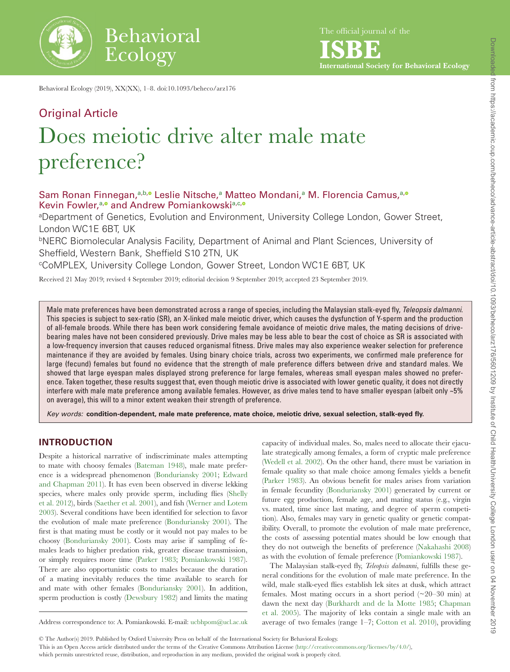

The official journal of the

**ISBE International Society for Behavioral Ecology**

Behavioral Ecology (2019), XX(XX), 1–8. doi:10.1093/beheco/arz176

# Original Article Does meiotic drive alter male mate preference?

# S[a](#page-0-0)m Ronan Finnegan, a[,b](#page-0-1)[,](http://orcid.org/0000-0003-0626-6865) Cleslie Nitsche, [a](#page-0-0) Matteo Mondani, a M. Florencia Camus, a, o Kevin Fowler,<sup>[a](#page-0-0),</sup> and Andrew Pom[ia](#page-0-0)nkowski<sup>a[,c](#page-0-2)[,](http://orcid.org/0000-0002-5171-8755)</sup>

<span id="page-0-0"></span>aDepartment of Genetics, Evolution and Environment, University College London, Gower Street, London WC1E 6BT, UK

<span id="page-0-1"></span>bNERC Biomolecular Analysis Facility, Department of Animal and Plant Sciences, University of Sheffield, Western Bank, Sheffield S10 2TN, UK

<span id="page-0-2"></span>cCoMPLEX, University College London, Gower Street, London WC1E 6BT, UK

Received 21 May 2019; revised 4 September 2019; editorial decision 9 September 2019; accepted 23 September 2019.

Male mate preferences have been demonstrated across a range of species, including the Malaysian stalk-eyed fly, *Teleopsis dalmanni*. This species is subject to sex-ratio (SR), an X-linked male meiotic driver, which causes the dysfunction of Y-sperm and the production of all-female broods. While there has been work considering female avoidance of meiotic drive males, the mating decisions of drivebearing males have not been considered previously. Drive males may be less able to bear the cost of choice as SR is associated with a low-frequency inversion that causes reduced organismal fitness. Drive males may also experience weaker selection for preference maintenance if they are avoided by females. Using binary choice trials, across two experiments, we confirmed male preference for large (fecund) females but found no evidence that the strength of male preference differs between drive and standard males. We showed that large eyespan males displayed strong preference for large females, whereas small eyespan males showed no preference. Taken together, these results suggest that, even though meiotic drive is associated with lower genetic quality, it does not directly interfere with male mate preference among available females. However, as drive males tend to have smaller eyespan (albeit only ~5% on average), this will to a minor extent weaken their strength of preference.

*Key words:* **condition-dependent, male mate preference, mate choice, meiotic drive, sexual selection, stalk-eyed fly.**

# **INTRODUCTION**

Despite a historical narrative of indiscriminate males attempting to mate with choosy females ([Bateman 1948](#page-6-0)), male mate preference is a widespread phenomenon ([Bonduriansky 2001;](#page-6-1) [Edward](#page-7-0) [and Chapman 2011](#page-7-0)). It has even been observed in diverse lekking species, where males only provide sperm, including flies [\(Shelly](#page-7-1) [et al. 2012](#page-7-1)), birds [\(Saether et al. 2001\)](#page-7-2), and fish [\(Werner and Lotem](#page-7-3) [2003](#page-7-3)). Several conditions have been identified for selection to favor the evolution of male mate preference [\(Bonduriansky 2001](#page-6-1)). The first is that mating must be costly or it would not pay males to be choosy [\(Bonduriansky 2001](#page-6-1)). Costs may arise if sampling of females leads to higher predation risk, greater disease transmission, or simply requires more time [\(Parker 1983](#page-7-4); [Pomiankowski 1987\)](#page-7-5). There are also opportunistic costs to males because the duration of a mating inevitably reduces the time available to search for and mate with other females ([Bonduriansky 2001](#page-6-1)). In addition, sperm production is costly [\(Dewsbury 1982\)](#page-7-6) and limits the mating capacity of individual males. So, males need to allocate their ejaculate strategically among females, a form of cryptic male preference ([Wedell et al. 2002](#page-7-7)). On the other hand, there must be variation in female quality so that male choice among females yields a benefit ([Parker 1983\)](#page-7-4). An obvious benefit for males arises from variation in female fecundity [\(Bonduriansky 2001\)](#page-6-1) generated by current or future egg production, female age, and mating status (e.g., virgin vs. mated, time since last mating, and degree of sperm competition). Also, females may vary in genetic quality or genetic compatibility. Overall, to promote the evolution of male mate preference, the costs of assessing potential mates should be low enough that they do not outweigh the benefits of preference ([Nakahashi 2008](#page-7-8)) as with the evolution of female preference ([Pomiankowski 1987\)](#page-7-5).

The Malaysian stalk-eyed fly, *Teleopsis dalmanni*, fulfills these general conditions for the evolution of male mate preference. In the wild, male stalk-eyed flies establish lek sites at dusk, which attract females. Most mating occurs in a short period (~20–30 min) at dawn the next day ([Burkhardt and de la Motte 1985;](#page-6-2) [Chapman](#page-6-3) [et al. 2005\)](#page-6-3). The majority of leks contain a single male with an average of two females (range 1–7; [Cotton et al. 2010](#page-7-9)), providing

© The Author(s) 2019. Published by Oxford University Press on behalf of the International Society for Behavioral Ecology.

This is an Open Access article distributed under the terms of the Creative Commons Attribution License ([http://creativecommons.org/licenses/by/4.0/\)](http://creativecommons.org/licenses/by/4.0/),

which permits unrestricted reuse, distribution, and reproduction in any medium, provided the original work is properly cited.

Address correspondence to: A. Pomiankowski. E-mail: [ucbhpom@ucl.ac.uk](mailto:ucbhpom@ucl.ac.uk?subject=)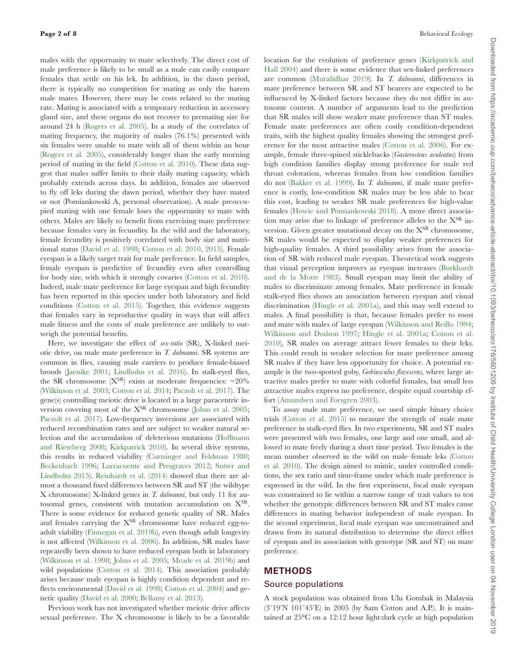males with the opportunity to mate selectively. The direct cost of male preference is likely to be small as a male can easily compare females that settle on his lek. In addition, in the dawn period, there is typically no competition for mating as only the harem male mates. However, there may be costs related to the mating rate. Mating is associated with a temporary reduction in accessory gland size, and these organs do not recover to premating size for around 24 h [\(Rogers et al. 2005](#page-7-10)). In a study of the correlates of mating frequency, the majority of males (76.1%) presented with six females were unable to mate with all of them within an hour [\(Rogers et al. 2005\)](#page-7-10), considerably longer than the early morning period of mating in the field [\(Cotton et al. 2010\)](#page-7-9). These data suggest that males suffer limits to their daily mating capacity, which probably extends across days. In addition, females are observed to fly off leks during the dawn period, whether they have mated or not (Pomiankowski A, personal observation). A male preoccupied mating with one female loses the opportunity to mate with others. Males are likely to benefit from exercising mate preference because females vary in fecundity. In the wild and the laboratory, female fecundity is positively correlated with body size and nutritional status [\(David et al. 1998;](#page-7-11) [Cotton et al. 2010,](#page-7-9) [2015](#page-7-12)). Female eyespan is a likely target trait for male preference. In field samples, female eyespan is predictive of fecundity even after controlling for body size, with which it strongly covaries ([Cotton et al. 2010](#page-7-9)). Indeed, male mate preference for large eyespan and high fecundity has been reported in this species under both laboratory and field conditions ([Cotton et al. 2015](#page-7-12)). Together, this evidence suggests that females vary in reproductive quality in ways that will affect male fitness and the costs of male preference are unlikely to outweigh the potential benefits.

Here, we investigate the effect of *sex-ratio* (SR), X-linked meiotic drive, on male mate preference in *T. dalmanni*. SR systems are common in flies, causing male carriers to produce female-biased broods ([Jaenike 2001](#page-7-13); [Lindholm et al. 2016](#page-7-14)). In stalk-eyed flies, the SR chromosome  $(X^{SR})$  exists at moderate frequencies:  $\sim$ 20% [\(Wilkinson et al. 2003;](#page-7-15) [Cotton et al. 2014](#page-7-16); [Paczolt et al. 2017\)](#page-7-17). The gene(s) controlling meiotic drive is located in a large paracentric inversion covering most of the  $X^{SR}$  chromosome ([Johns et al. 2005](#page-7-18); [Paczolt et al. 2017](#page-7-17)). Low-frequency inversions are associated with reduced recombination rates and are subject to weaker natural selection and the accumulation of deleterious mutations [\(Hoffmann](#page-7-19)  [and Rieseberg 2008](#page-7-19); [Kirkpatrick 2010](#page-7-20)). In several drive systems, this results in reduced viability ([Curtsinger and Feldman 1980](#page-7-21); [Beckenbach 1996;](#page-6-4) [Larracuente and Presgraves 2012;](#page-7-22) [Sutter and](#page-7-23)  [Lindholm 2015\)](#page-7-23). [Reinhardt et al. \(2014\)](#page-7-24) showed that there are almost a thousand fixed differences between SR and ST (the wildtype X chromosome) X-linked genes in *T. dalmanni*, but only 11 for autosomal genes, consistent with mutation accumulation on XSR. There is some evidence for reduced genetic quality of SR. Males and females carrying the  $X^{SR}$  chromosome have reduced egg-toadult viability ([Finnegan et al. 2019b](#page-7-25)), even though adult longevity is not affected ([Wilkinson et al. 2006](#page-7-26)). In addition, SR males have repeatedly been shown to have reduced eyespan both in laboratory [\(Wilkinson et al. 1998](#page-7-27); [Johns et al. 2005;](#page-7-18) [Meade et al. 2019b\)](#page-7-28) and wild populations ([Cotton et al. 2014](#page-7-16)). This association probably arises because male eyespan is highly condition dependent and reflects environmental [\(David et al. 1998](#page-7-11); [Cotton et al. 2004\)](#page-7-29) and genetic quality [\(David et al. 2000;](#page-7-30) [Bellamy et al. 2013](#page-6-5)).

Previous work has not investigated whether meiotic drive affects sexual preference. The X chromosome is likely to be a favorable location for the evolution of preference genes [\(Kirkpatrick and](#page-7-31) [Hall 2004\)](#page-7-31) and there is some evidence that sex-linked preferences are common ([Muralidhar 2019\)](#page-7-32). In *T. dalmanni*, differences in mate preference between SR and ST bearers are expected to be influenced by X-linked factors because they do not differ in autosome content. A number of arguments lead to the prediction that SR males will show weaker mate preference than ST males. Female mate preferences are often costly condition-dependent traits, with the highest quality females showing the strongest preference for the most attractive males ([Cotton et al. 2006](#page-7-33)). For example, female three-spined sticklebacks (*Gasterosteus aculeatus*) from high condition families display strong preference for male red throat coloration, whereas females from low condition families do not [\(Bakker et al. 1999](#page-6-6)). In *T. dalmanni*, if male mate preference is costly, low-condition SR males may be less able to bear this cost, leading to weaker SR male preferences for high-value females ([Howie and Pomiankowski 2018](#page-7-34)). A more direct association may arise due to linkage of preference alleles to the  $X^{SR}$  inversion. Given greater mutational decay on the X<sup>SR</sup> chromosome, SR males would be expected to display weaker preferences for high-quality females. A third possibility arises from the association of SR with reduced male eyespan. Theoretical work suggests that visual perception improves as eyespan increases ([Burkhardt](#page-6-7) [and de la Motte 1983\)](#page-6-7). Small eyespan may limit the ability of males to discriminate among females. Mate preference in female stalk-eyed flies shows an association between eyespan and visual discrimination [\(Hingle et al. 2001a\)](#page-7-35), and this may well extend to males. A final possibility is that, because females prefer to roost and mate with males of large eyespan [\(Wilkinson and Reillo 1994](#page-7-36); [Wilkinson and Dodson 1997](#page-7-37); [Hingle et al. 2001a;](#page-7-35) [Cotton et al.](#page-7-9) [2010](#page-7-9)), SR males on average attract fewer females to their leks. This could result in weaker selection for mate preference among SR males if they have less opportunity for choice. A potential example is the two-spotted goby, *Gobiusculus flavescens,* where large attractive males prefer to mate with colorful females, but small less attractive males express no preference, despite equal courtship effort ([Amundsen and Forsgren 2003](#page-6-8)).

To assay male mate preference, we used simple binary choice trials [\(Cotton et al. 2015](#page-7-12)) to measure the strength of male mate preference in stalk-eyed flies. In two experiments, SR and ST males were presented with two females, one large and one small, and allowed to mate freely during a short time period. Two females is the mean number observed in the wild on male–female leks ([Cotton](#page-7-9) [et al. 2010\)](#page-7-9). The design aimed to mimic, under controlled conditions, the sex ratio and time-frame under which male preference is expressed in the wild. In the first experiment, focal male eyespan was constrained to lie within a narrow range of trait values to test whether the genotypic differences between SR and ST males cause differences in mating behavior independent of male eyespan. In the second experiment, focal male eyespan was unconstrained and drawn from its natural distribution to determine the direct effect of eyespan and its association with genotype (SR and ST) on mate preference.

# **METHODS**

#### Source populations

A stock population was obtained from Ulu Gombak in Malaysia (3˚19'N 101˚45'E) in 2005 (by Sam Cotton and A.P.). It is maintained at 25°C on a 12:12 hour light:dark cycle at high population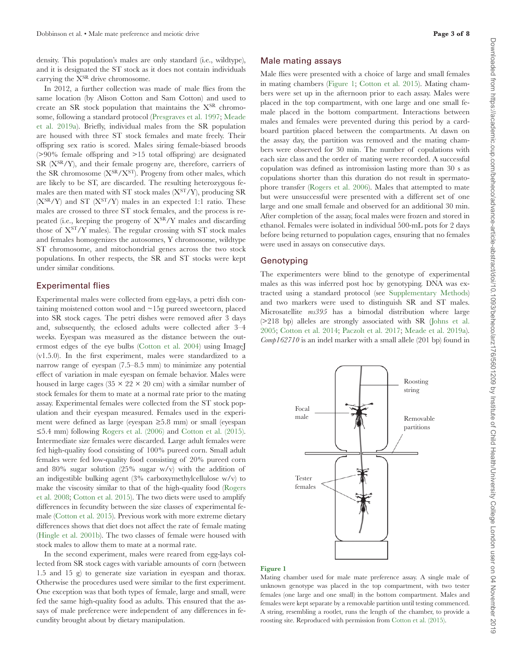density. This population's males are only standard (i.e., wildtype), and it is designated the ST stock as it does not contain individuals carrying the XSR drive chromosome.

In 2012, a further collection was made of male flies from the same location (by Alison Cotton and Sam Cotton) and used to create an SR stock population that maintains the XSR chromosome, following a standard protocol [\(Presgraves et al. 1997](#page-7-38); [Meade](#page-7-39) [et al. 2019a](#page-7-39)). Briefly, individual males from the SR population are housed with three ST stock females and mate freely. Their offspring sex ratio is scored. Males siring female-biased broods (>90% female offspring and >15 total offspring) are designated SR  $(X<sup>SR</sup>/Y)$ , and their female progeny are, therefore, carriers of the SR chromosome  $(X^{SR}/X^{ST})$ . Progeny from other males, which are likely to be ST, are discarded. The resulting heterozygous females are then mated with ST stock males  $(X<sup>ST</sup>/Y)$ , producing SR  $(X^{SR}/Y)$  and ST  $(X^{ST}/Y)$  males in an expected 1:1 ratio. These males are crossed to three ST stock females, and the process is repeated (i.e., keeping the progeny of  $X^{SR}/Y$  males and discarding those of  $X^{ST}/Y$  males). The regular crossing with ST stock males and females homogenizes the autosomes, Y chromosome, wildtype ST chromosome, and mitochondrial genes across the two stock populations. In other respects, the SR and ST stocks were kept under similar conditions.

#### Experimental flies

Experimental males were collected from egg-lays, a petri dish containing moistened cotton wool and ~15g pureed sweetcorn, placed into SR stock cages. The petri dishes were removed after 3 days and, subsequently, the eclosed adults were collected after 3–4 weeks. Eyespan was measured as the distance between the outermost edges of the eye bulbs ([Cotton et al. 2004\)](#page-7-29) using ImageJ (v1.5.0). In the first experiment, males were standardized to a narrow range of eyespan (7.5–8.5 mm) to minimize any potential effect of variation in male eyespan on female behavior. Males were housed in large cages (35  $\times$  22  $\times$  20 cm) with a similar number of stock females for them to mate at a normal rate prior to the mating assay. Experimental females were collected from the ST stock population and their eyespan measured. Females used in the experiment were defined as large (eyespan ≥5.8 mm) or small (eyespan ≤5.4 mm) following [Rogers et al. \(2006\)](#page-7-40) and [Cotton et al. \(2015\)](#page-7-12). Intermediate size females were discarded. Large adult females were fed high-quality food consisting of 100% pureed corn. Small adult females were fed low-quality food consisting of 20% pureed corn and 80% sugar solution (25% sugar w/v) with the addition of an indigestible bulking agent (3% carboxymethylcellulose w/v) to make the viscosity similar to that of the high-quality food [\(Rogers](#page-7-41) [et al. 2008;](#page-7-41) [Cotton et al. 2015\)](#page-7-12). The two diets were used to amplify differences in fecundity between the size classes of experimental female ([Cotton et al. 2015](#page-7-12)). Previous work with more extreme dietary differences shows that diet does not affect the rate of female mating ([Hingle et al. 2001b](#page-7-42)). The two classes of female were housed with stock males to allow them to mate at a normal rate.

In the second experiment, males were reared from egg-lays collected from SR stock cages with variable amounts of corn (between 1.5 and 15 g) to generate size variation in eyespan and thorax. Otherwise the procedures used were similar to the first experiment. One exception was that both types of female, large and small, were fed the same high-quality food as adults. This ensured that the assays of male preference were independent of any differences in fecundity brought about by dietary manipulation.

## Male mating assays

Male flies were presented with a choice of large and small females in mating chambers [\(Figure 1](#page-2-0); [Cotton et al. 2015](#page-7-12)). Mating chambers were set up in the afternoon prior to each assay. Males were placed in the top compartment, with one large and one small female placed in the bottom compartment. Interactions between males and females were prevented during this period by a cardboard partition placed between the compartments. At dawn on the assay day, the partition was removed and the mating chambers were observed for 30 min. The number of copulations with each size class and the order of mating were recorded. A successful copulation was defined as intromission lasting more than 30 s as copulations shorter than this duration do not result in spermatophore transfer ([Rogers et al. 2006\)](#page-7-40). Males that attempted to mate but were unsuccessful were presented with a different set of one large and one small female and observed for an additional 30 min. After completion of the assay, focal males were frozen and stored in ethanol. Females were isolated in individual 500-mL pots for 2 days before being returned to population cages, ensuring that no females were used in assays on consecutive days.

## Genotyping

The experimenters were blind to the genotype of experimental males as this was inferred post hoc by genotyping. DNA was extracted using a standard protocol (see [Supplementary Methods\)](http://academic.oup.com/beheco/article-lookup/doi/10.1093/beheco/arz176#supplementary-data) and two markers were used to distinguish SR and ST males. Microsatellite *ms395* has a bimodal distribution where large (>218 bp) alleles are strongly associated with SR [\(Johns et al.](#page-7-18) [2005](#page-7-18); [Cotton et al. 2014;](#page-7-16) [Paczolt et al. 2017](#page-7-17); [Meade et al. 2019a\)](#page-7-39). *Comp162710* is an indel marker with a small allele (201 bp) found in



#### <span id="page-2-0"></span>Figure 1

Mating chamber used for male mate preference assay. A single male of unknown genotype was placed in the top compartment, with two tester females (one large and one small) in the bottom compartment. Males and females were kept separate by a removable partition until testing commenced. A string, resembling a rootlet, runs the length of the chamber, to provide a roosting site. Reproduced with permission from [Cotton et al. \(2015\)](#page-7-12).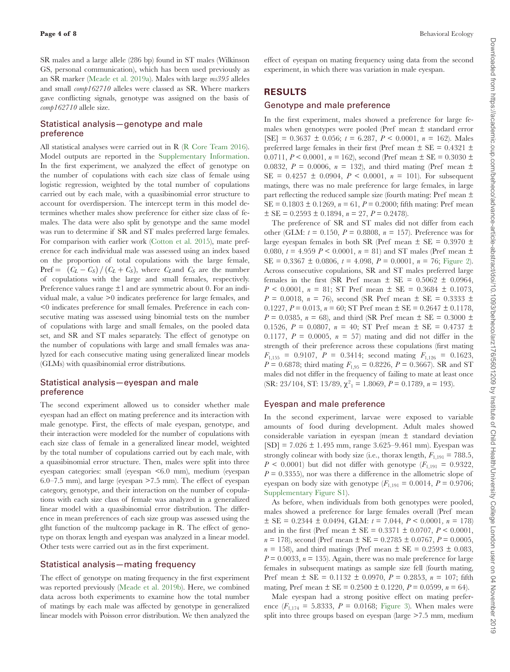SR males and a large allele (286 bp) found in ST males (Wilkinson GS, personal communication), which has been used previously as an SR marker [\(Meade et al. 2019a](#page-7-39)). Males with large *ms395* alleles and small *comp162710* alleles were classed as SR. Where markers gave conflicting signals, genotype was assigned on the basis of *comp162710* allele size.

# Statistical analysis—genotype and male preference

All statistical analyses were carried out in R ([R Core Team 2016](#page-7-43)). Model outputs are reported in the [Supplementary Information](http://academic.oup.com/beheco/article-lookup/doi/10.1093/beheco/arz176#supplementary-data). In the first experiment, we analyzed the effect of genotype on the number of copulations with each size class of female using logistic regression, weighted by the total number of copulations carried out by each male, with a quasibinomial error structure to account for overdispersion. The intercept term in this model determines whether males show preference for either size class of females. The data were also split by genotype and the same model was run to determine if SR and ST males preferred large females. For comparison with earlier work [\(Cotton et al. 2015\)](#page-7-12), mate preference for each individual male was assessed using an index based on the proportion of total copulations with the large female, Pref =  $(C_L - C_S) / (C_L + C_S)$ , where  $C_L$  and  $C_S$  are the number of copulations with the large and small females, respectively. Preference values range  $\pm 1$  and are symmetric about 0. For an individual male, a value >0 indicates preference for large females, and <0 indicates preference for small females. Preference in each consecutive mating was assessed using binomial tests on the number of copulations with large and small females, on the pooled data set, and SR and ST males separately. The effect of genotype on the number of copulations with large and small females was analyzed for each consecutive mating using generalized linear models (GLMs) with quasibinomial error distributions.

# Statistical analysis—eyespan and male preference

The second experiment allowed us to consider whether male eyespan had an effect on mating preference and its interaction with male genotype. First, the effects of male eyespan, genotype, and their interaction were modeled for the number of copulations with each size class of female in a generalized linear model, weighted by the total number of copulations carried out by each male, with a quasibinomial error structure. Then, males were split into three eyespan categories: small (eyespan <6.0 mm), medium (eyespan 6.0–7.5 mm), and large (eyespan >7.5 mm). The effect of eyespan category, genotype, and their interaction on the number of copulations with each size class of female was analyzed in a generalized linear model with a quasibinomial error distribution. The difference in mean preferences of each size group was assessed using the glht function of the multcomp package in R. The effect of genotype on thorax length and eyespan was analyzed in a linear model. Other tests were carried out as in the first experiment.

## Statistical analysis—mating frequency

The effect of genotype on mating frequency in the first experiment was reported previously ([Meade et al. 2019b](#page-7-28)). Here, we combined data across both experiments to examine how the total number of matings by each male was affected by genotype in generalized linear models with Poisson error distribution. We then analyzed the effect of eyespan on mating frequency using data from the second experiment, in which there was variation in male eyespan.

# **RESULTS**

#### Genotype and male preference

In the first experiment, males showed a preference for large females when genotypes were pooled (Pref mean  $\pm$  standard error  $[SE] = 0.3637 \pm 0.056$ ;  $t = 6.287$ ,  $P < 0.0001$ ,  $n = 162$ ). Males preferred large females in their first (Pref mean  $\pm$  SE = 0.4321  $\pm$ 0.0711,  $P < 0.0001$ ,  $n = 162$ ), second (Pref mean  $\pm$  SE = 0.3030  $\pm$ 0.0832,  $P = 0.0006$ ,  $n = 132$ ), and third mating (Pref mean  $\pm$  $SE = 0.4257 \pm 0.0904$ ,  $P < 0.0001$ ,  $n = 101$ ). For subsequent matings, there was no male preference for large females, in large part reflecting the reduced sample size (fourth mating: Pref mean ±  $SE = 0.1803 \pm 0.1269$ ,  $n = 61$ ,  $P = 0.2000$ ; fifth mating: Pref mean  $\pm$  SE = 0.2593  $\pm$  0.1894,  $n = 27$ ,  $P = 0.2478$ ).

The preference of SR and ST males did not differ from each other (GLM:  $t = 0.150$ ,  $P = 0.8808$ ,  $n = 157$ ). Preference was for large eyespan females in both SR (Pref mean  $\pm$  SE = 0.3970  $\pm$ 0.080,  $t = 4.959$   $P < 0.0001$ ,  $n = 81$ ) and ST males (Pref mean  $\pm$ SE = 0.3367 ± 0.0806, *t* = 4.098, *P* = 0.0001, *n* = 76; [Figure 2](#page-4-0)). Across consecutive copulations, SR and ST males preferred large females in the first (SR Pref mean  $\pm$  SE = 0.5062  $\pm$  0.0964,  $P < 0.0001$ ,  $n = 81$ ; ST Pref mean  $\pm$  SE = 0.3684  $\pm$  0.1073,  $P = 0.0018$ ,  $n = 76$ ), second (SR Pref mean  $\pm$  SE = 0.3333  $\pm$ 0.1227,  $P = 0.013$ ,  $n = 60$ ; ST Pref mean  $\pm$  SE = 0.2647  $\pm$  0.1178,  $P = 0.0385$ ,  $n = 68$ ), and third (SR Pref mean  $\pm$  SE = 0.3000  $\pm$ 0.1526,  $P = 0.0807$ ,  $n = 40$ ; ST Pref mean  $\pm$  SE = 0.4737  $\pm$ 0.1177,  $P = 0.0005$ ,  $n = 57$  mating and did not differ in the strength of their preference across these copulations (first mating  $F_{1,155} = 0.9107$ ,  $P = 0.3414$ ; second mating  $F_{1,126} = 0.1623$ ,  $P = 0.6878$ ; third mating  $F_{1,95} = 0.8226$ ,  $P = 0.3667$ ). SR and ST males did not differ in the frequency of failing to mate at least once  $(SR: 23/104, ST: 13/89, \chi^2_1 = 1.8069, P = 0.1789, n = 193).$ 

## Eyespan and male preference

In the second experiment, larvae were exposed to variable amounts of food during development. Adult males showed considerable variation in eyespan (mean ± standard deviation  $[SD] = 7.026 \pm 1.495$  mm, range 3.625–9.461 mm). Eyespan was strongly colinear with body size (i.e., thorax length,  $F_{1,191} = 788.5$ , *P* < 0.0001) but did not differ with genotype  $(F_{1,191} = 0.9322)$ ,  $P = 0.3355$ , nor was there a difference in the allometric slope of eyespan on body size with genotype  $(F_{1,191} = 0.0014, P = 0.9706;$ [Supplementary Figure S1\)](http://academic.oup.com/beheco/article-lookup/doi/10.1093/beheco/arz176#supplementary-data).

As before, when individuals from both genotypes were pooled, males showed a preference for large females overall (Pref mean ± SE = 0.2344 ± 0.0494, GLM: *t* = 7.044, *P* < 0.0001*, n* = 178) and in the first (Pref mean  $\pm$  SE = 0.3371  $\pm$  0.0707, *P* < 0.0001,  $n = 178$ , second (Pref mean  $\pm$  SE = 0.2785  $\pm$  0.0767,  $P = 0.0005$ ,  $n = 158$ ), and third matings (Pref mean  $\pm$  SE = 0.2593  $\pm$  0.083,  $P = 0.0033$ ,  $n = 135$ ). Again, there was no male preference for large females in subsequent matings as sample size fell (fourth mating, Pref mean  $\pm$  SE = 0.1132  $\pm$  0.0970,  $P = 0.2853$ ,  $n = 107$ ; fifth mating, Pref mean  $\pm$  SE = 0.2500  $\pm$  0.1220,  $P = 0.0599$ ,  $n = 64$ ).

Male eyespan had a strong positive effect on mating preference  $(F_{1,174} = 5.8333, P = 0.0168;$  [Figure 3](#page-4-1)). When males were split into three groups based on eyespan (large >7.5 mm, medium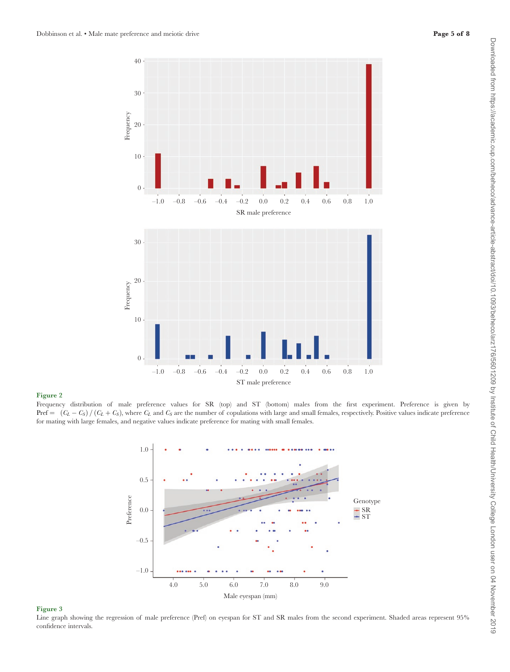

#### Figure 2

Frequency distribution of male preference values for SR (top) and ST (bottom) males from the first experiment. Preference is given by Pref =  $(C_L - C_S) / (C_L + C_S)$ , where  $C_L$  and  $C_S$  are the number of copulations with large and small females, respectively. Positive values indicate preference for mating with large females, and negative values indicate preference for mating with small females.

<span id="page-4-0"></span>

#### <span id="page-4-1"></span>Figure 3

Line graph showing the regression of male preference (Pref) on eyespan for ST and SR males from the second experiment. Shaded areas represent 95% confidence intervals.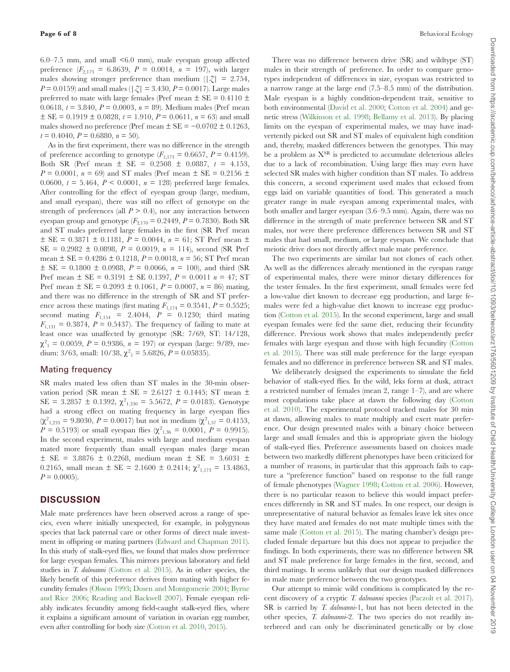6.0–7.5 mm, and small <6.0 mm), male eyespan group affected preference  $(F_{2,173} = 6.8639, P = 0.0014, n = 197)$ , with larger males showing stronger preference than medium  $(|z| = 2.754$ , *P* = 0.0159) and small males ( $|Z|$  = 3.430, *P* = 0.0017). Large males preferred to mate with large females (Pref mean  $\pm$  SE = 0.4110  $\pm$ 0.0618,  $t = 3.840$ ,  $P = 0.0003$ ,  $n = 89$ ). Medium males (Pref mean  $\pm$  SE = 0.1919  $\pm$  0.0828,  $t = 1.910$ ,  $P = 0.0611$ ,  $n = 63$ ) and small males showed no preference (Pref mean  $\pm$  SE = -0.0702  $\pm$  0.1263,  $t = 0.4040$ ,  $P = 0.6880$ ,  $n = 50$ ).

As in the first experiment, there was no difference in the strength of preference according to genotype  $(F_{1,173} = 0.6657, P = 0.4159)$ . Both SR (Pref mean  $\pm$  SE = 0.2508  $\pm$  0.0887,  $t = 4.153$ ,  $P = 0.0001$ ,  $n = 69$ ) and ST males (Pref mean  $\pm$  SE = 0.2156  $\pm$ 0.0600,  $t = 5.464$ ,  $P < 0.0001$ ,  $n = 128$ ) preferred large females. After controlling for the effect of eyespan group (large, medium, and small eyespan), there was still no effect of genotype on the strength of preferences (all  $P > 0.4$ ), nor any interaction between eyespan group and genotype  $(F_{2,170} = 0.2449, P = 0.7830)$ . Both SR and ST males preferred large females in the first (SR Pref mean  $\pm$  SE = 0.3871  $\pm$  0.1181,  $P = 0.0044$ ,  $n = 61$ ; ST Pref mean  $\pm$  $SE = 0.2982 \pm 0.0898$ ,  $P = 0.0019$ ,  $n = 114$ ), second (SR Pref mean ± SE = 0.4286 ± 0.1218, *P* = 0.0018, *n* = 56; ST Pref mean  $\pm$  SE = 0.1800  $\pm$  0.0988, *P* = 0.0066, *n* = 100), and third (SR Pref mean ± SE = 0.3191 ± SE 0.1397, *P* = 0.0011 *n* = 47; ST Pref mean  $\pm$  SE = 0.2093  $\pm$  0.1061, *P* = 0.0007, *n* = 86) mating, and there was no difference in the strength of SR and ST preference across these matings (first mating  $F_{1,174} = 0.3541, P = 0.5525;$ second mating  $F_{1,154}$  = 2.4044,  $P$  = 0.1230; third mating  $F_{1,131} = 0.3874$ ,  $P = 0.5437$ ). The frequency of failing to mate at least once was unaffected by genotype (SR: 7/69, ST: 14/128,  $\chi^2_{1} = 0.0059, P = 0.9386, n = 197$  or eyespan (large: 9/89, medium: 3/63, small:  $10/38$ ,  $\chi^2_1 = 5.6826$ ,  $P = 0.05835$ ).

## Mating frequency

SR males mated less often than ST males in the 30-min observation period (SR mean  $\pm$  SE = 2.6127  $\pm$  0.1445; ST mean  $\pm$ SE =  $3.2857 \pm 0.1392$ ,  $\chi^2_{1,330} = 5.5672$ ,  $P = 0.0183$ ). Genotype had a strong effect on mating frequency in large eyespan flies  $(\chi^2_{1,233} = 9.8030, P = 0.0017)$  but not in medium  $(\chi^2_{1,57} = 0.4153,$  $P = 0.5193$  or small eyespan flies ( $\chi^2_{1,36} = 0.0001$ ,  $P = 0.9915$ ). In the second experiment, males with large and medium eyespan mated more frequently than small eyespan males (large mean  $\pm$  SE = 3.8876  $\pm$  0.2268, medium mean  $\pm$  SE = 3.6031  $\pm$ 0.2165, small mean  $\pm$  SE = 2.1600  $\pm$  0.2414;  $\chi^2_{1,173}$  = 13.4863,  $P = 0.0005$ .

# **DISCUSSION**

Male mate preferences have been observed across a range of species, even where initially unexpected, for example, in polygynous species that lack paternal care or other forms of direct male investment in offspring or mating partners [\(Edward and Chapman 2011](#page-7-0)). In this study of stalk-eyed flies, we found that males show preference for large eyespan females. This mirrors previous laboratory and field studies in *T. dalmanni* ([Cotton et al. 2015\)](#page-7-12). As in other species, the likely benefit of this preference derives from mating with higher fecundity females [\(Olsson 1993;](#page-7-44) [Dosen and Montgomerie 2004;](#page-7-45) [Byrne](#page-6-9)  [and Rice 2006](#page-6-9); [Reading and Backwell 2007](#page-7-46)). Female eyespan reliably indicates fecundity among field-caught stalk-eyed flies, where it explains a significant amount of variation in ovarian egg number, even after controlling for body size [\(Cotton et al. 2010,](#page-7-9) [2015](#page-7-12)).

There was no difference between drive (SR) and wildtype (ST) males in their strength of preference. In order to compare genotypes independent of differences in size, eyespan was restricted to a narrow range at the large end (7.5–8.5 mm) of the distribution. Male eyespan is a highly condition-dependent trait, sensitive to both environmental [\(David et al. 2000](#page-7-30); [Cotton et al. 2004](#page-7-29)) and genetic stress ([Wilkinson et al. 1998;](#page-7-27) [Bellamy et al. 2013\)](#page-6-5). By placing limits on the eyespan of experimental males, we may have inadvertently picked out SR and ST males of equivalent high condition and, thereby, masked differences between the genotypes. This may be a problem as  $X^{SR}$  is predicted to accumulate deleterious alleles due to a lack of recombination. Using large flies may even have selected SR males with higher condition than ST males. To address this concern, a second experiment used males that eclosed from eggs laid on variable quantities of food. This generated a much greater range in male eyespan among experimental males, with both smaller and larger eyespan (3.6–9.5 mm). Again, there was no difference in the strength of mate preference between SR and ST males, nor were there preference differences between SR and ST males that had small, medium, or large eyespan. We conclude that meiotic drive does not directly affect male mate preference.

The two experiments are similar but not clones of each other. As well as the differences already mentioned in the eyespan range of experimental males, there were minor dietary differences for the tester females. In the first experiment, small females were fed a low-value diet known to decrease egg production, and large females were fed a high-value diet known to increase egg production [\(Cotton et al. 2015\)](#page-7-12). In the second experiment, large and small eyespan females were fed the same diet, reducing their fecundity difference. Previous work shows that males independently prefer females with large eyespan and those with high fecundity ([Cotton](#page-7-12) [et al. 2015](#page-7-12)). There was still male preference for the large eyespan females and no difference in preference between SR and ST males.

We deliberately designed the experiments to simulate the field behavior of stalk-eyed flies. In the wild, leks form at dusk, attract a restricted number of females (mean 2, range 1–7), and are where most copulations take place at dawn the following day ([Cotton](#page-7-9) [et al. 2010\)](#page-7-9). The experimental protocol tracked males for 30 min at dawn, allowing males to mate multiply and exert mate preference. Our design presented males with a binary choice between large and small females and this is appropriate given the biology of stalk-eyed flies. Preference assessments based on choices made between two markedly different phenotypes have been criticized for a number of reasons, in particular that this approach fails to capture a "preference function" based on response to the full range of female phenotypes ([Wagner 1998](#page-7-47); [Cotton et al. 2006\)](#page-7-33). However, there is no particular reason to believe this would impact preferences differently in SR and ST males. In one respect, our design is unrepresentative of natural behavior as females leave lek sites once they have mated and females do not mate multiple times with the same male [\(Cotton et al. 2015](#page-7-12)). The mating chamber's design precluded female departure but this does not appear to prejudice the findings. In both experiments, there was no difference between SR and ST male preference for large females in the first, second, and third matings. It seems unlikely that our design masked differences in male mate preference between the two genotypes.

Our attempt to mimic wild conditions is complicated by the recent discovery of a cryptic *T. dalmanni* species [\(Paczolt et al. 2017](#page-7-17)). SR is carried by *T. dalmanni*-1, but has not been detected in the other species, *T. dalmanni*-2. The two species do not readily interbreed and can only be discriminated genetically or by close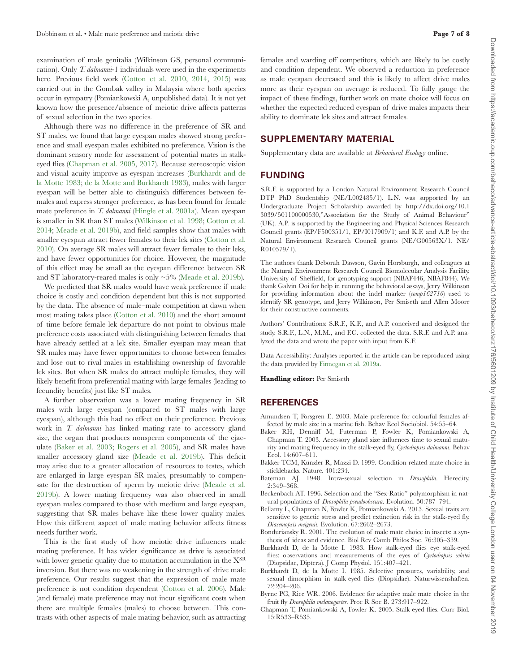examination of male genitalia (Wilkinson GS, personal communication). Only *T. dalmanni*-1 individuals were used in the experiments here. Previous field work [\(Cotton et al. 2010,](#page-7-9) [2014,](#page-7-16) [2015](#page-7-12)) was carried out in the Gombak valley in Malaysia where both species occur in sympatry (Pomiankowski A, unpublished data). It is not yet known how the presence/absence of meiotic drive affects patterns of sexual selection in the two species.

Although there was no difference in the preference of SR and ST males, we found that large eyespan males showed strong preference and small eyespan males exhibited no preference. Vision is the dominant sensory mode for assessment of potential mates in stalkeyed flies [\(Chapman et al. 2005,](#page-6-3) [2017\)](#page-7-48). Because stereoscopic vision and visual acuity improve as eyespan increases [\(Burkhardt and de](#page-6-7) [la Motte 1983;](#page-6-7) [de la Motte and Burkhardt 1983](#page-7-49)), males with larger eyespan will be better able to distinguish differences between females and express stronger preference, as has been found for female mate preference in *T. dalmanni* ([Hingle et al. 2001a\)](#page-7-35). Mean eyespan is smaller in SR than ST males ([Wilkinson et al. 1998](#page-7-27); [Cotton et al.](#page-7-16) [2014;](#page-7-16) [Meade et al. 2019b\)](#page-7-28), and field samples show that males with smaller eyespan attract fewer females to their lek sites ([Cotton et al.](#page-7-9) [2010\)](#page-7-9). On average SR males will attract fewer females to their leks, and have fewer opportunities for choice. However, the magnitude of this effect may be small as the eyespan difference between SR and ST laboratory-reared males is only ~5% [\(Meade et al. 2019b\)](#page-7-28).

We predicted that SR males would have weak preference if male choice is costly and condition dependent but this is not supported by the data. The absence of male–male competition at dawn when most mating takes place ([Cotton et al. 2010\)](#page-7-9) and the short amount of time before female lek departure do not point to obvious male preference costs associated with distinguishing between females that have already settled at a lek site. Smaller eyespan may mean that SR males may have fewer opportunities to choose between females and lose out to rival males in establishing ownership of favorable lek sites. But when SR males do attract multiple females, they will likely benefit from preferential mating with large females (leading to fecundity benefits) just like ST males.

A further observation was a lower mating frequency in SR males with large eyespan (compared to ST males with large eyespan), although this had no effect on their preference. Previous work in *T. dalmanni* has linked mating rate to accessory gland size, the organ that produces nonsperm components of the ejaculate ([Baker et al. 2003;](#page-6-10) [Rogers et al. 2005\)](#page-7-10), and SR males have smaller accessory gland size ([Meade et al. 2019b](#page-7-28)). This deficit may arise due to a greater allocation of resources to testes, which are enlarged in large eyespan SR males, presumably to compensate for the destruction of sperm by meiotic drive [\(Meade et al.](#page-7-28) [2019b](#page-7-28)). A lower mating frequency was also observed in small eyespan males compared to those with medium and large eyespan, suggesting that SR males behave like these lower quality males. How this different aspect of male mating behavior affects fitness needs further work.

This is the first study of how meiotic drive influences male mating preference. It has wider significance as drive is associated with lower genetic quality due to mutation accumulation in the  $\mathrm{X}^\mathrm{SR}$ inversion. But there was no weakening in the strength of drive male preference. Our results suggest that the expression of male mate preference is not condition dependent [\(Cotton et al. 2006\)](#page-7-33). Male (and female) mate preference may not incur significant costs when there are multiple females (males) to choose between. This contrasts with other aspects of male mating behavior, such as attracting females and warding off competitors, which are likely to be costly and condition dependent. We observed a reduction in preference as male eyespan decreased and this is likely to affect drive males more as their eyespan on average is reduced. To fully gauge the impact of these findings, further work on mate choice will focus on whether the expected reduced eyespan of drive males impacts their ability to dominate lek sites and attract females.

# **SUPPLEMENTARY MATERIAL**

Supplementary data are available at *Behavioral Ecology* online.

# **FUNDING**

S.R.F. is supported by a London Natural Environment Research Council DTP PhD Studentship (NE/L002485/1). L.N. was supported by an Undergraduate Project Scholarship awarded by http://dx.doi.org/10.1 3039/501100000530,"Association for the Study of Animal Behaviour" (UK). A.P. is supported by the Engineering and Physical Sciences Research Council grants (EP/F500351/1, EP/I017909/1) and K.F. and A.P. by the Natural Environment Research Council grants (NE/G00563X/1, NE/ R010579/1).

The authors thank Deborah Dawson, Gavin Horsburgh, and colleagues at the Natural Environment Research Council Biomolecular Analysis Facility, University of Sheffield, for genotyping support (NBAF446, NBAF844). We thank Galvin Ooi for help in running the behavioral assays, Jerry Wilkinson for providing information about the indel marker (*comp162710*) used to identify SR genotype, and Jerry Wilkinson, Per Smiseth and Allen Moore for their constructive comments.

Authors' Contributions: S.R.F., K.F., and A.P. conceived and designed the study. S.R.F., L.N., M.M., and F.C. collected the data. S.R.F. and A.P. analyzed the data and wrote the paper with input from K.F.

Data Accessibility: Analyses reported in the article can be reproduced using the data provided by [Finnegan et al. 2019a](#page-7-50).

**Handling editor:** Per Smiseth

#### **REFERENCES**

- <span id="page-6-8"></span>Amundsen T, Forsgren E. 2003. Male preference for colourful females affected by male size in a marine fish. Behav Ecol Sociobiol. 54:55–64.
- <span id="page-6-10"></span>Baker RH, Denniff M, Futerman P, Fowler K, Pomiankowski A, Chapman T. 2003. Accessory gland size influences time to sexual maturity and mating frequency in the stalk-eyed fly, *Cyrtodiopsis dalmanni*. Behav Ecol. 14:607–611.
- <span id="page-6-6"></span>Bakker TCM, Künzler R, Mazzi D. 1999. Condition-related mate choice in sticklebacks. Nature. 401:234.
- <span id="page-6-0"></span>Bateman AJ. 1948. Intra-sexual selection in *Drosophila*. Heredity. 2:349–368.
- <span id="page-6-4"></span>Beckenbach AT. 1996. Selection and the "Sex-Ratio" polymorphism in natural populations of *Drosophila pseudoobscura*. Evolution. 50:787–794.
- <span id="page-6-5"></span>Bellamy L, Chapman N, Fowler K, Pomiankowski A. 2013. Sexual traits are sensitive to genetic stress and predict extinction risk in the stalk-eyed fly, *Diasemopsis meigenii*. Evolution. 67:2662–2673.
- <span id="page-6-1"></span>Bonduriansky R. 2001. The evolution of male mate choice in insects: a synthesis of ideas and evidence. Biol Rev Camb Philos Soc. 76:305–339.
- <span id="page-6-7"></span>Burkhardt D, de la Motte I. 1983. How stalk-eyed flies eye stalk-eyed flies: observations and measurements of the eyes of *Cyrtodiopsis whitei* (Diopsidae, Diptera). J Comp Physiol. 151:407–421.
- <span id="page-6-2"></span>Burkhardt D, de la Motte I. 1985. Selective pressures, variability, and sexual dimorphism in stalk-eyed flies (Diopsidae). Naturwissenshaften. 72:204–206.
- <span id="page-6-9"></span>Byrne PG, Rice WR. 2006. Evidence for adaptive male mate choice in the fruit fly *Drosophila melanogaster*. Proc R Soc B. 273:917–922.
- <span id="page-6-3"></span>Chapman T, Pomiankowski A, Fowler K. 2005. Stalk-eyed flies. Curr Biol. 15:R533–R535.